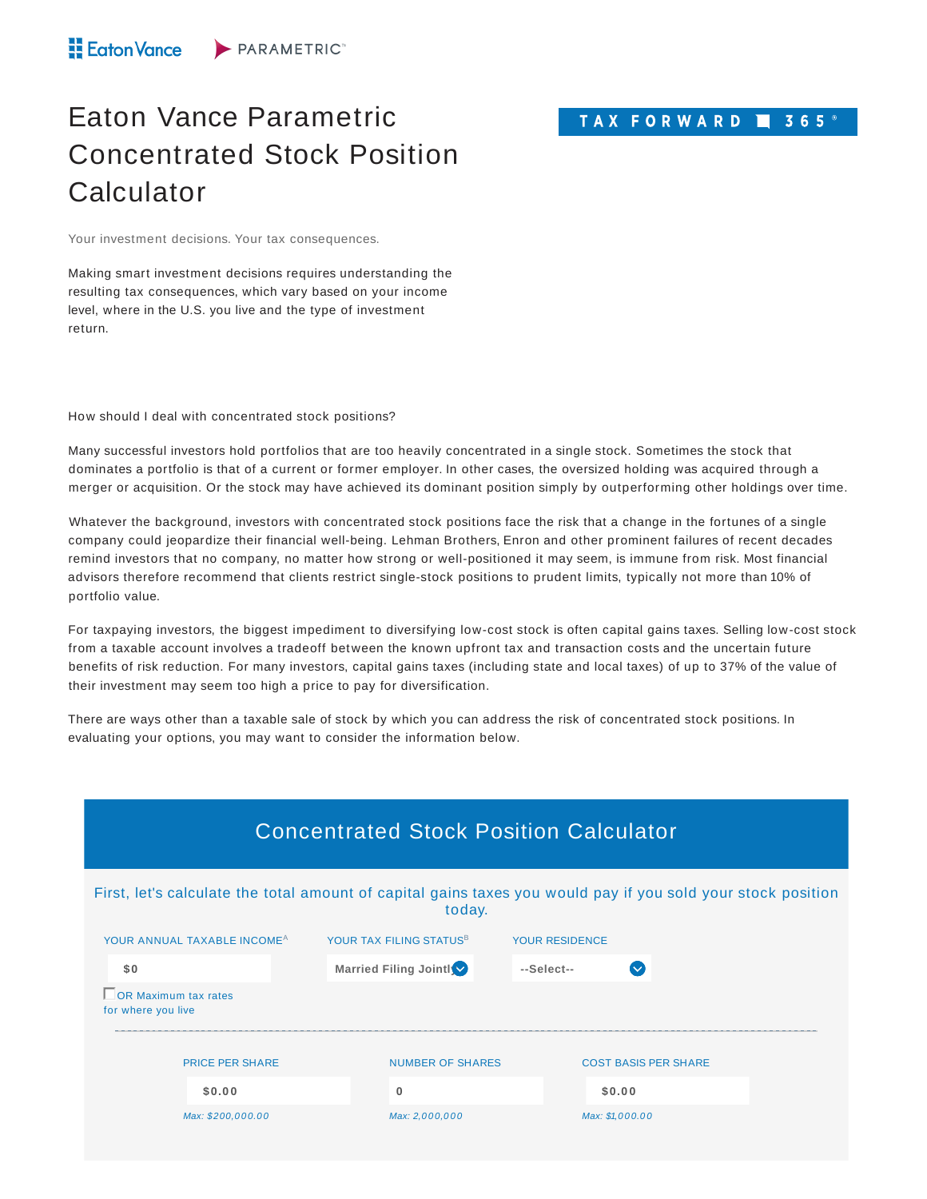## TAX FORWARD 365<sup>®</sup>

## Eaton Vance Parametric Concentrated Stock Position **Calculator**

Your investment decisions. Your tax consequences.

Making smart investment decisions requires understanding the resulting tax consequences, which vary based on your income level, where in the U.S. you live and the type of investment return.

How should I deal with concentrated stock positions?

Many successful investors hold portfolios that are too heavily concentrated in a single stock. Sometimes the stock that dominates a portfolio is that of a current or former employer. In other cases, the oversized holding was acquired through a merger or acquisition. Or the stock may have achieved its dominant position simply by outperforming other holdings over time.

Whatever the background, investors with concentrated stock positions face the risk that a change in the fortunes of a single company could jeopardize their financial well-being. Lehman Brothers, Enron and other prominent failures of recent decades remind investors that no company, no matter how strong or well-positioned it may seem, is immune from risk. Most financial advisors therefore recommend that clients restrict single-stock positions to prudent limits, typically not more than 10% of portfolio value.

For taxpaying investors, the biggest impediment to diversifying low-cost stock is often capital gains taxes. Selling low-cost stock from a taxable account involves a tradeoff between the known upfront tax and transaction costs and the uncertain future benefits of risk reduction. For many investors, capital gains taxes (including state and local taxes) of up to 37% of the value of their investment may seem too high a price to pay for diversification.

There are ways other than a taxable sale of stock by which you can address the risk of concentrated stock positions. In evaluating your options, you may want to consider the information below.

| <b>Concentrated Stock Position Calculator</b>                                                                          |                                     |                             |  |  |  |  |  |
|------------------------------------------------------------------------------------------------------------------------|-------------------------------------|-----------------------------|--|--|--|--|--|
| First, let's calculate the total amount of capital gains taxes you would pay if you sold your stock position<br>today. |                                     |                             |  |  |  |  |  |
| YOUR ANNUAL TAXABLE INCOME <sup>A</sup>                                                                                | YOUR TAX FILING STATUS <sup>B</sup> | <b>YOUR RESIDENCE</b>       |  |  |  |  |  |
| \$0                                                                                                                    | Married Filing Jointly              | $-Select$ --<br>$\sim$      |  |  |  |  |  |
| OR Maximum tax rates<br>for where you live                                                                             |                                     |                             |  |  |  |  |  |
| <b>PRICE PER SHARE</b>                                                                                                 | <b>NUMBER OF SHARES</b>             | <b>COST BASIS PER SHARE</b> |  |  |  |  |  |
| \$0.00                                                                                                                 | $\bf{0}$                            | \$0.00                      |  |  |  |  |  |
| Max: \$200,000.00                                                                                                      | Max: 2,000,000                      | Max: \$1,000.00             |  |  |  |  |  |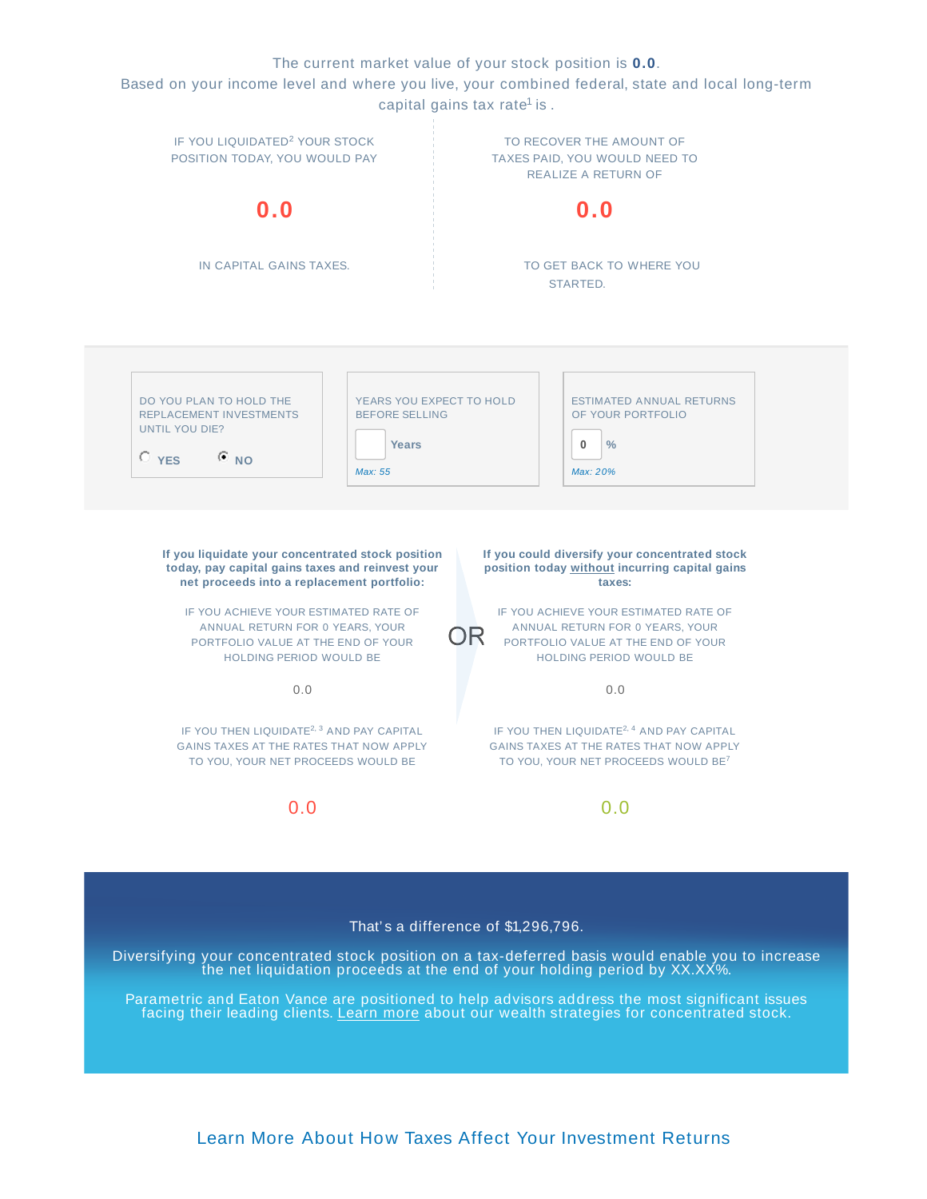The current market value of your stock position is **0.0**.

Based on your income level and where you live, your combined federal, state and local long-term capital gains tax rate<sup>1</sup> is .



That' s a difference of \$1,296,796.

Diversifying your concentrated stock position on a tax-deferred basis would enable you to increase the net liquidation proceeds at the end of your holding period by XX.XX%.

Parametric and Eaton Vance are positioned to help advisors address the most significant issues facing their leading clients. Learn more about our wealth strategies for concentrated stock.

Learn More About How Taxes Affect Your Investment Returns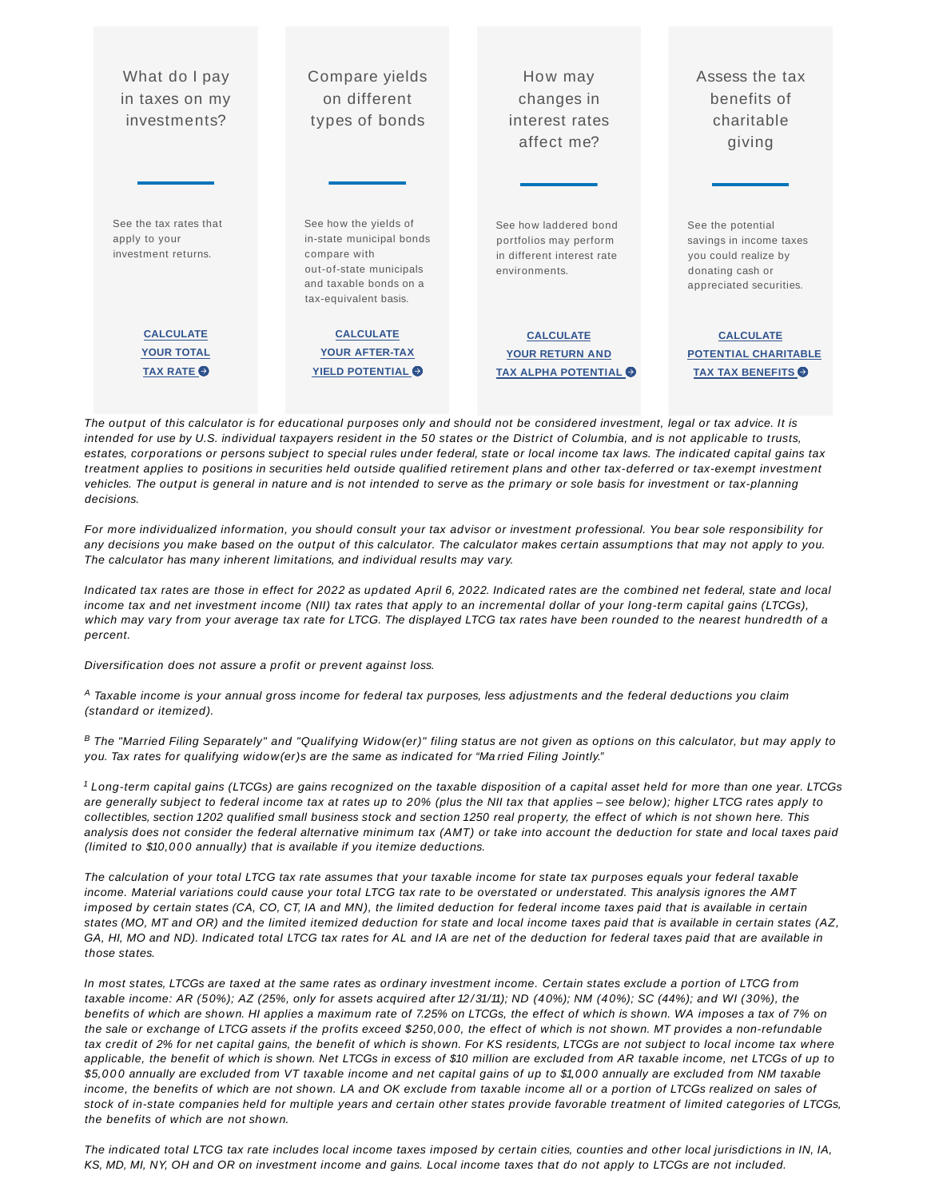| What do I pay<br>in taxes on my<br>investments?                | Compare yields<br>on different<br>types of bonds                                                                                                | How may<br>changes in<br>interest rates<br>affect me?                                          | Assess the tax<br>benefits of<br>charitable<br>giving                                                               |
|----------------------------------------------------------------|-------------------------------------------------------------------------------------------------------------------------------------------------|------------------------------------------------------------------------------------------------|---------------------------------------------------------------------------------------------------------------------|
| See the tax rates that<br>apply to your<br>investment returns. | See how the yields of<br>in-state municipal bonds<br>compare with<br>out-of-state municipals<br>and taxable bonds on a<br>tax-equivalent basis. | See how laddered bond<br>portfolios may perform<br>in different interest rate<br>environments. | See the potential<br>savings in income taxes<br>you could realize by<br>donating cash or<br>appreciated securities. |
| <b>CALCULATE</b><br><b>YOUR TOTAL</b>                          | <b>CALCULATE</b><br><b>YOUR AFTER-TAX</b>                                                                                                       | <b>CALCULATE</b><br><b>YOUR RETURN AND</b>                                                     | <b>CALCULATE</b><br><b>POTENTIAL CHARITABLE</b>                                                                     |
| TAX RATE O                                                     | <b>YIELD POTENTIAL O</b>                                                                                                                        | <b>TAX ALPHA POTENTIAL O</b>                                                                   | <b>TAX TAX BENEFITS</b>                                                                                             |

The output of this calculator is for educational purposes only and should not be considered investment, legal or tax advice. It is intended for use by U.S. individual taxpayers resident in the 50 states or the District of Columbia, and is not applicable to trusts, estates, corporations or persons subject to special rules under federal, state or local income tax laws. The indicated capital gains tax treatment applies to positions in securities held outside qualified retirement plans and other tax-deferred or tax-exempt investment vehicles. The output is general in nature and is not intended to serve as the primary or sole basis for investment or tax-planning decisions.

For more individualized information, you should consult your tax advisor or investment professional. You bear sole responsibility for any decisions you make based on the output of this calculator. The calculator makes certain assumptions that may not apply to you. The calculator has many inherent limitations, and individual results may vary.

Indicated tax rates are those in effect for 2022 as updated April 6, 2022. Indicated rates are the combined net federal, state and local income tax and net investment income (NII) tax rates that apply to an incremental dollar of your long-term capital gains (LTCGs), which may vary from your average tax rate for LTCG. The displayed LTCG tax rates have been rounded to the nearest hundredth of a percent.

Diversification does not assure a profit or prevent against loss.

 $^{\rm A}$  Taxable income is your annual gross income for federal tax purposes, less adjustments and the federal deductions you claim (standard or itemized).

 $^B$  The "Married Filing Separately" and "Qualifying Widow(er)" filing status are not given as options on this calculator, but may apply to you. Tax rates for qualifying widow(er)s are the same as indicated for "Ma rried Filing Jointly."

 $1$  Long-term capital gains (LTCGs) are gains recognized on the taxable disposition of a capital asset held for more than one year. LTCGs are generally subject to federal income tax at rates up to 20% (plus the NII tax that applies – see below); higher LTCG rates apply to collectibles, section 1202 qualified small business stock and section 1250 real property, the effect of which is not shown here. This analysis does not consider the federal alternative minimum tax (AMT) or take into account the deduction for state and local taxes paid (limited to \$10,000 annually) that is available if you itemize deductions.

The calculation of your total LTCG tax rate assumes that your taxable income for state tax purposes equals your federal taxable income. Material variations could cause your total LTCG tax rate to be overstated or understated. This analysis ignores the AMT imposed by certain states (CA, CO, CT, IA and MN), the limited deduction for federal income taxes paid that is available in certain states (MO, MT and OR) and the limited itemized deduction for state and local income taxes paid that is available in certain states (AZ, GA, HI, MO and ND). Indicated total LTCG tax rates for AL and IA are net of the deduction for federal taxes paid that are available in those states.

In most states, LTCGs are taxed at the same rates as ordinary investment income. Certain states exclude a portion of LTCG from taxable income: AR (50%); AZ (25%, only for assets acquired after 12/31/11); ND (40%); NM (40%); SC (44%); and WI (30%), the benefits of which are shown. HI applies a maximum rate of 7.25% on LTCGs, the effect of which is shown. WA imposes a tax of 7% on the sale or exchange of LTCG assets if the profits exceed \$250,000, the effect of which is not shown. MT provides a non-refundable tax credit of 2% for net capital gains, the benefit of which is shown. For KS residents, LTCGs are not subject to local income tax where applicable, the benefit of which is shown. Net LTCGs in excess of \$10 million are excluded from AR taxable income, net LTCGs of up to \$5,000 annually are excluded from VT taxable income and net capital gains of up to \$1,000 annually are excluded from NM taxable income, the benefits of which are not shown. LA and OK exclude from taxable income all or a portion of LTCGs realized on sales of stock of in-state companies held for multiple years and certain other states provide favorable treatment of limited categories of LTCGs, the benefits of which are not shown.

The indicated total LTCG tax rate includes local income taxes imposed by certain cities, counties and other local jurisdictions in IN, IA, KS, MD, MI, NY, OH and OR on investment income and gains. Local income taxes that do not apply to LTCGs are not included.